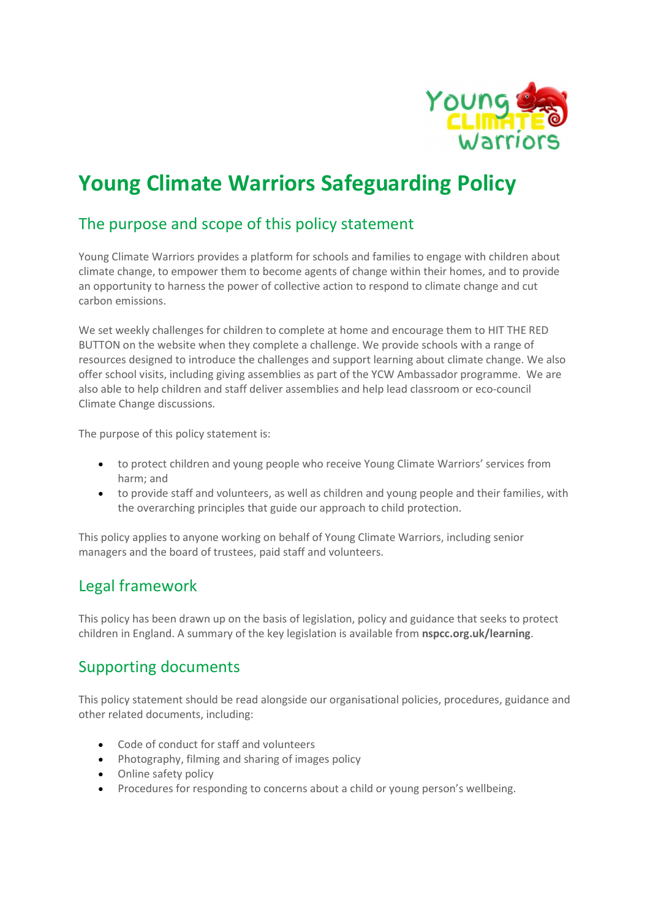

# Young Climate Warriors Safeguarding Policy

# The purpose and scope of this policy statement

Young Climate Warriors provides a platform for schools and families to engage with children about climate change, to empower them to become agents of change within their homes, and to provide an opportunity to harness the power of collective action to respond to climate change and cut carbon emissions.

We set weekly challenges for children to complete at home and encourage them to HIT THE RED BUTTON on the website when they complete a challenge. We provide schools with a range of resources designed to introduce the challenges and support learning about climate change. We also offer school visits, including giving assemblies as part of the YCW Ambassador programme. We are also able to help children and staff deliver assemblies and help lead classroom or eco-council Climate Change discussions.

The purpose of this policy statement is:

- to protect children and young people who receive Young Climate Warriors' services from harm; and
- to provide staff and volunteers, as well as children and young people and their families, with the overarching principles that guide our approach to child protection.

This policy applies to anyone working on behalf of Young Climate Warriors, including senior managers and the board of trustees, paid staff and volunteers.

### Legal framework

This policy has been drawn up on the basis of legislation, policy and guidance that seeks to protect children in England. A summary of the key legislation is available from nspcc.org.uk/learning.

### Supporting documents

This policy statement should be read alongside our organisational policies, procedures, guidance and other related documents, including:

- Code of conduct for staff and volunteers
- Photography, filming and sharing of images policy
- Online safety policy
- Procedures for responding to concerns about a child or young person's wellbeing.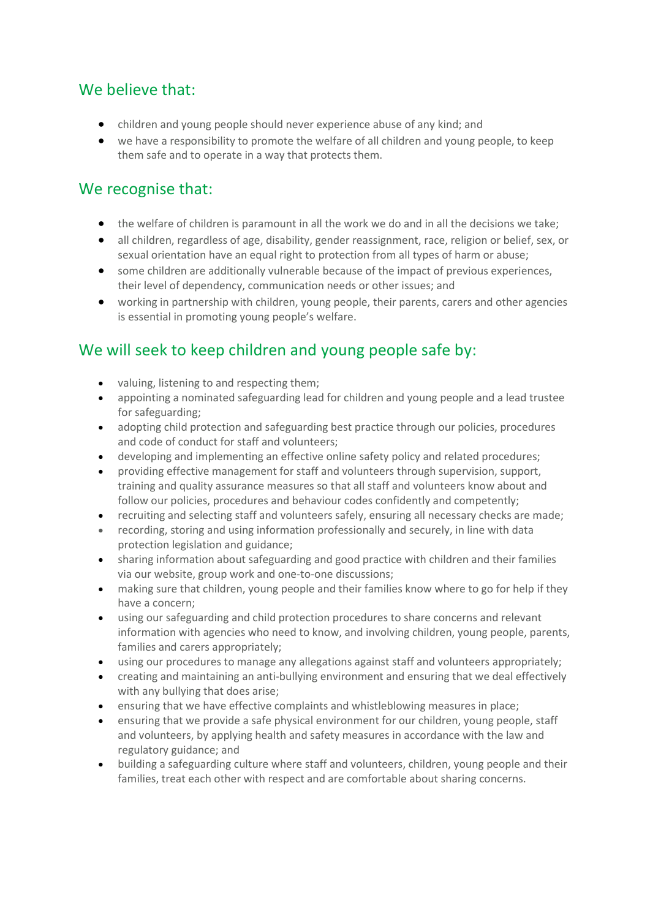## We believe that:

- children and young people should never experience abuse of any kind; and
- we have a responsibility to promote the welfare of all children and young people, to keep them safe and to operate in a way that protects them.

# We recognise that:

- the welfare of children is paramount in all the work we do and in all the decisions we take;
- all children, regardless of age, disability, gender reassignment, race, religion or belief, sex, or sexual orientation have an equal right to protection from all types of harm or abuse;
- some children are additionally vulnerable because of the impact of previous experiences, their level of dependency, communication needs or other issues; and
- working in partnership with children, young people, their parents, carers and other agencies is essential in promoting young people's welfare.

# We will seek to keep children and young people safe by:

- valuing, listening to and respecting them;
- appointing a nominated safeguarding lead for children and young people and a lead trustee for safeguarding;
- adopting child protection and safeguarding best practice through our policies, procedures and code of conduct for staff and volunteers;
- developing and implementing an effective online safety policy and related procedures;
- providing effective management for staff and volunteers through supervision, support, training and quality assurance measures so that all staff and volunteers know about and follow our policies, procedures and behaviour codes confidently and competently;
- recruiting and selecting staff and volunteers safely, ensuring all necessary checks are made;
- recording, storing and using information professionally and securely, in line with data protection legislation and guidance;
- sharing information about safeguarding and good practice with children and their families via our website, group work and one-to-one discussions;
- making sure that children, young people and their families know where to go for help if they have a concern;
- using our safeguarding and child protection procedures to share concerns and relevant information with agencies who need to know, and involving children, young people, parents, families and carers appropriately;
- using our procedures to manage any allegations against staff and volunteers appropriately;
- creating and maintaining an anti-bullying environment and ensuring that we deal effectively with any bullying that does arise;
- ensuring that we have effective complaints and whistleblowing measures in place;
- ensuring that we provide a safe physical environment for our children, young people, staff and volunteers, by applying health and safety measures in accordance with the law and regulatory guidance; and
- building a safeguarding culture where staff and volunteers, children, young people and their families, treat each other with respect and are comfortable about sharing concerns.